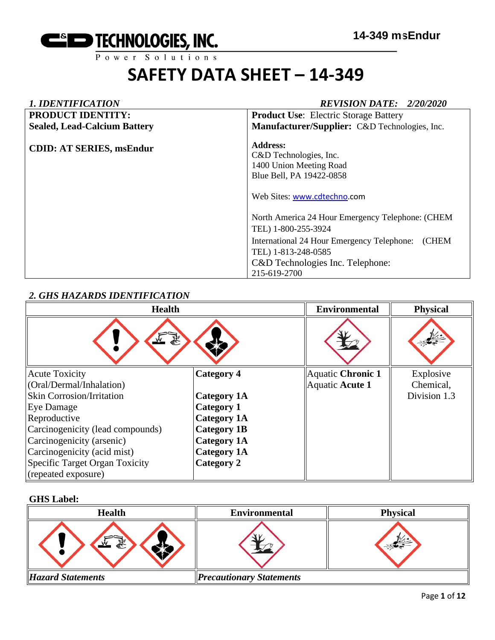

#### *1. IDENTIFICATION REVISION DATE: 2/20/2020* **PRODUCT IDENTITY: Sealed, Lead-Calcium Battery CDID: AT SERIES, msEndur Product Use**: Electric Storage Battery **Manufacturer/Supplier:** C&D Technologies, Inc. **Address:**  C&D Technologies, Inc. 1400 Union Meeting Road Blue Bell, PA 19422-0858 Web Sites: [www.cdtechno.](http://www.cdtechno/)com North America 24 Hour Emergency Telephone: (CHEM TEL) 1-800-255-3924 International 24 Hour Emergency Telephone: (CHEM TEL) 1-813-248-0585 C&D Technologies Inc. Telephone: 215-619-2700

#### *2. GHS HAZARDS IDENTIFICATION*

| <b>Health</b>                    |                    | <b>Environmental</b> | <b>Physical</b> |
|----------------------------------|--------------------|----------------------|-----------------|
|                                  |                    |                      |                 |
| <b>Acute Toxicity</b>            | <b>Category 4</b>  | Aquatic Chronic 1    | Explosive       |
| (Oral/Dermal/Inhalation)         |                    | Aquatic Acute 1      | Chemical,       |
| <b>Skin Corrosion/Irritation</b> | Category 1A        |                      | Division 1.3    |
| Eye Damage                       | <b>Category 1</b>  |                      |                 |
| Reproductive                     | <b>Category 1A</b> |                      |                 |
| Carcinogenicity (lead compounds) | <b>Category 1B</b> |                      |                 |
| Carcinogenicity (arsenic)        | <b>Category 1A</b> |                      |                 |
| Carcinogenicity (acid mist)      | <b>Category 1A</b> |                      |                 |
| Specific Target Organ Toxicity   | Category 2         |                      |                 |
| (repeated exposure)              |                    |                      |                 |

#### **GHS Label:**

| <b>Health</b>            | <b>Environmental</b>            | <b>Physical</b> |
|--------------------------|---------------------------------|-----------------|
| 58<br>ਵੰ∻                |                                 |                 |
| <b>Hazard Statements</b> | <b>Precautionary Statements</b> |                 |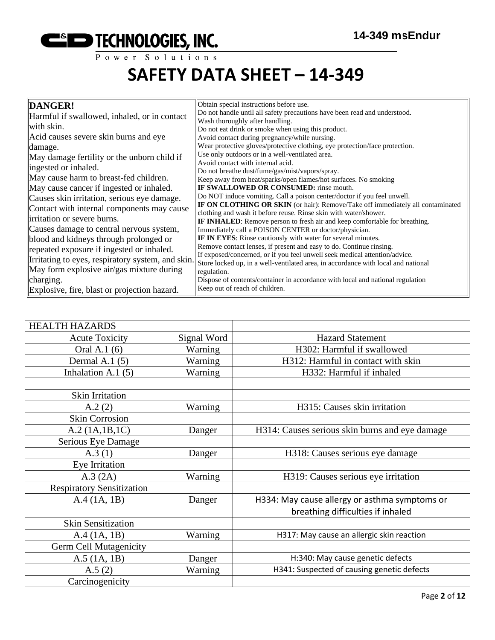

| DANGER!<br>Harmful if swallowed, inhaled, or in contact<br>with skin.<br>Acid causes severe skin burns and eye<br>damage.<br>May damage fertility or the unborn child if<br>ingested or inhaled.<br>May cause harm to breast-fed children.<br>May cause cancer if ingested or inhaled.                                                                                     | Obtain special instructions before use.<br>Do not handle until all safety precautions have been read and understood.<br>Wash thoroughly after handling.<br>Do not eat drink or smoke when using this product.<br>Avoid contact during pregnancy/while nursing.<br>Wear protective gloves/protective clothing, eye protection/face protection.<br>Use only outdoors or in a well-ventilated area.<br>Avoid contact with internal acid.<br>Do not breathe dust/fume/gas/mist/vapors/spray.<br>Keep away from heat/sparks/open flames/hot surfaces. No smoking<br><b>IF SWALLOWED OR CONSUMED:</b> rinse mouth.                                                                                                                                                                                         |
|----------------------------------------------------------------------------------------------------------------------------------------------------------------------------------------------------------------------------------------------------------------------------------------------------------------------------------------------------------------------------|------------------------------------------------------------------------------------------------------------------------------------------------------------------------------------------------------------------------------------------------------------------------------------------------------------------------------------------------------------------------------------------------------------------------------------------------------------------------------------------------------------------------------------------------------------------------------------------------------------------------------------------------------------------------------------------------------------------------------------------------------------------------------------------------------|
| Causes skin irritation, serious eye damage.<br>Contact with internal components may cause<br>irritation or severe burns.<br>Causes damage to central nervous system,<br>blood and kidneys through prolonged or<br>repeated exposure if ingested or inhaled.<br>Irritating to eyes, respiratory system, and skin.<br>May form explosive air/gas mixture during<br>charging. | Do NOT induce vomiting. Call a poison center/doctor if you feel unwell.<br><b>IF ON CLOTHING OR SKIN</b> (or hair): Remove/Take off immediately all contaminated<br>clothing and wash it before reuse. Rinse skin with water/shower.<br><b>IF INHALED:</b> Remove person to fresh air and keep comfortable for breathing.<br>Immediately call a POISON CENTER or doctor/physician.<br><b>IF IN EYES:</b> Rinse cautiously with water for several minutes.<br>Remove contact lenses, if present and easy to do. Continue rinsing.<br>If exposed/concerned, or if you feel unwell seek medical attention/advice.<br>Store locked up, in a well-ventilated area, in accordance with local and national<br>regulation.<br>Dispose of contents/container in accordance with local and national regulation |
| Explosive, fire, blast or projection hazard.                                                                                                                                                                                                                                                                                                                               | Keep out of reach of children.                                                                                                                                                                                                                                                                                                                                                                                                                                                                                                                                                                                                                                                                                                                                                                       |

| <b>HEALTH HAZARDS</b>            |             |                                                |
|----------------------------------|-------------|------------------------------------------------|
| <b>Acute Toxicity</b>            | Signal Word | <b>Hazard Statement</b>                        |
| Oral A.1 (6)                     | Warning     | H302: Harmful if swallowed                     |
| Dermal A.1 $(5)$                 | Warning     | H312: Harmful in contact with skin             |
| Inhalation A.1 $(5)$             | Warning     | H332: Harmful if inhaled                       |
|                                  |             |                                                |
| Skin Irritation                  |             |                                                |
| A.2(2)                           | Warning     | H315: Causes skin irritation                   |
| <b>Skin Corrosion</b>            |             |                                                |
| A.2 (1A.1B.1C)                   | Danger      | H314: Causes serious skin burns and eye damage |
| Serious Eye Damage               |             |                                                |
| A.3(1)                           | Danger      | H318: Causes serious eye damage                |
| Eye Irritation                   |             |                                                |
| A.3 (2A)                         | Warning     | H319: Causes serious eye irritation            |
| <b>Respiratory Sensitization</b> |             |                                                |
| A.4(1A, 1B)                      | Danger      | H334: May cause allergy or asthma symptoms or  |
|                                  |             | breathing difficulties if inhaled              |
| <b>Skin Sensitization</b>        |             |                                                |
| A.4 (1A, 1B)                     | Warning     | H317: May cause an allergic skin reaction      |
| <b>Germ Cell Mutagenicity</b>    |             |                                                |
| $A.5$ (1A, 1B)                   | Danger      | H:340: May cause genetic defects               |
| A.5(2)                           | Warning     | H341: Suspected of causing genetic defects     |
| Carcinogenicity                  |             |                                                |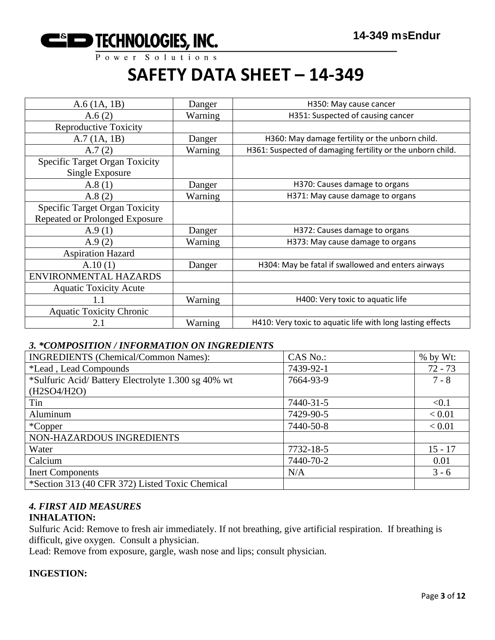

| $A.6$ (1A, 1B)                                           | Danger  | H350: May cause cancer                                     |
|----------------------------------------------------------|---------|------------------------------------------------------------|
| A.6(2)                                                   | Warning | H351: Suspected of causing cancer                          |
| <b>Reproductive Toxicity</b>                             |         |                                                            |
| A.7(1A, 1B)                                              | Danger  | H360: May damage fertility or the unborn child.            |
| A.7(2)                                                   | Warning | H361: Suspected of damaging fertility or the unborn child. |
| <b>Specific Target Organ Toxicity</b><br>Single Exposure |         |                                                            |
| A.8(1)                                                   | Danger  | H370: Causes damage to organs                              |
| A.8(2)                                                   | Warning | H371: May cause damage to organs                           |
| <b>Specific Target Organ Toxicity</b>                    |         |                                                            |
| Repeated or Prolonged Exposure                           |         |                                                            |
| A.9(1)                                                   | Danger  | H372: Causes damage to organs                              |
| A.9(2)                                                   | Warning | H373: May cause damage to organs                           |
| <b>Aspiration Hazard</b>                                 |         |                                                            |
| A.10(1)                                                  | Danger  | H304: May be fatal if swallowed and enters airways         |
| ENVIRONMENTAL HAZARDS                                    |         |                                                            |
| <b>Aquatic Toxicity Acute</b>                            |         |                                                            |
| 1.1                                                      | Warning | H400: Very toxic to aquatic life                           |
| <b>Aquatic Toxicity Chronic</b>                          |         |                                                            |
| 2.1                                                      | Warning | H410: Very toxic to aquatic life with long lasting effects |

#### *3. \*COMPOSITION / INFORMATION ON INGREDIENTS*

| <b>INGREDIENTS (Chemical/Common Names):</b>        | CAS No.:  | % by Wt:  |
|----------------------------------------------------|-----------|-----------|
| *Lead, Lead Compounds                              | 7439-92-1 | $72 - 73$ |
| *Sulfuric Acid/Battery Electrolyte 1.300 sg 40% wt | 7664-93-9 | $7 - 8$   |
| (H2SO4/H2O)                                        |           |           |
| Tin                                                | 7440-31-5 | < 0.1     |
| Aluminum                                           | 7429-90-5 | < 0.01    |
| *Copper                                            | 7440-50-8 | < 0.01    |
| NON-HAZARDOUS INGREDIENTS                          |           |           |
| Water                                              | 7732-18-5 | $15 - 17$ |
| Calcium                                            | 7440-70-2 | 0.01      |
| <b>Inert Components</b>                            | N/A       | $3 - 6$   |
| *Section 313 (40 CFR 372) Listed Toxic Chemical    |           |           |

### *4. FIRST AID MEASURES*

#### **INHALATION:**

Sulfuric Acid: Remove to fresh air immediately. If not breathing, give artificial respiration. If breathing is difficult, give oxygen. Consult a physician.

Lead: Remove from exposure, gargle, wash nose and lips; consult physician.

#### **INGESTION:**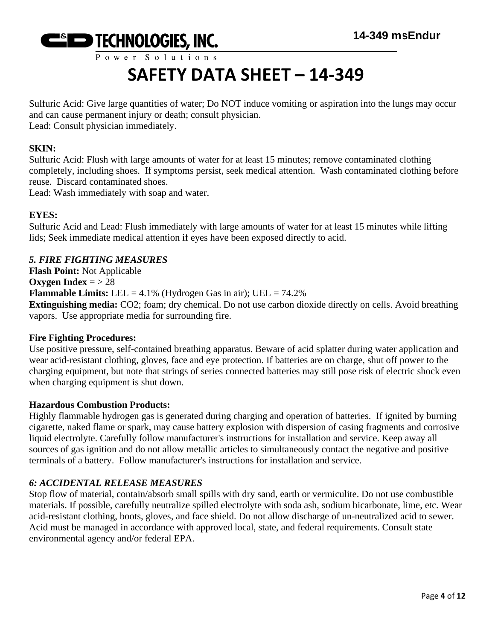

Sulfuric Acid: Give large quantities of water; Do NOT induce vomiting or aspiration into the lungs may occur and can cause permanent injury or death; consult physician. Lead: Consult physician immediately.

#### **SKIN:**

Sulfuric Acid: Flush with large amounts of water for at least 15 minutes; remove contaminated clothing completely, including shoes. If symptoms persist, seek medical attention. Wash contaminated clothing before reuse. Discard contaminated shoes.

Lead: Wash immediately with soap and water.

#### **EYES:**

Sulfuric Acid and Lead: Flush immediately with large amounts of water for at least 15 minutes while lifting lids; Seek immediate medical attention if eyes have been exposed directly to acid.

#### *5. FIRE FIGHTING MEASURES*

**Flash Point:** Not Applicable **Oxygen Index** =  $> 28$ **Flammable Limits:** LEL =  $4.1\%$  (Hydrogen Gas in air); UEL =  $74.2\%$ **Extinguishing media:** CO2; foam; dry chemical. Do not use carbon dioxide directly on cells. Avoid breathing vapors. Use appropriate media for surrounding fire.

#### **Fire Fighting Procedures:**

Use positive pressure, self-contained breathing apparatus. Beware of acid splatter during water application and wear acid-resistant clothing, gloves, face and eye protection. If batteries are on charge, shut off power to the charging equipment, but note that strings of series connected batteries may still pose risk of electric shock even when charging equipment is shut down.

#### **Hazardous Combustion Products:**

Highly flammable hydrogen gas is generated during charging and operation of batteries. If ignited by burning cigarette, naked flame or spark, may cause battery explosion with dispersion of casing fragments and corrosive liquid electrolyte. Carefully follow manufacturer's instructions for installation and service. Keep away all sources of gas ignition and do not allow metallic articles to simultaneously contact the negative and positive terminals of a battery. Follow manufacturer's instructions for installation and service.

#### *6: ACCIDENTAL RELEASE MEASURES*

Stop flow of material, contain/absorb small spills with dry sand, earth or vermiculite. Do not use combustible materials. If possible, carefully neutralize spilled electrolyte with soda ash, sodium bicarbonate, lime, etc. Wear acid-resistant clothing, boots, gloves, and face shield. Do not allow discharge of un-neutralized acid to sewer. Acid must be managed in accordance with approved local, state, and federal requirements. Consult state environmental agency and/or federal EPA.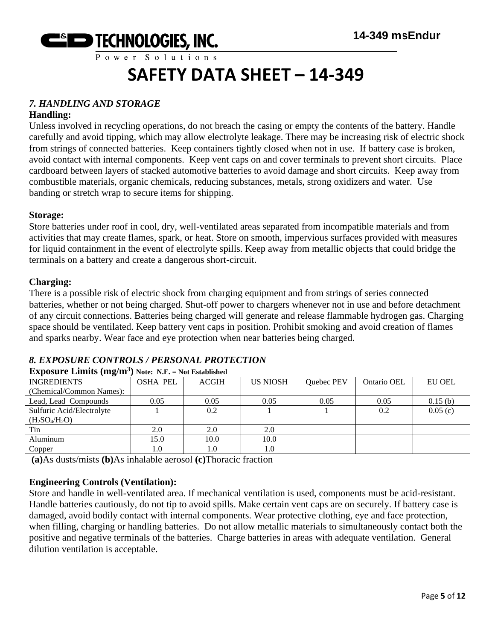

#### *7. HANDLING AND STORAGE*

#### **Handling:**

Unless involved in recycling operations, do not breach the casing or empty the contents of the battery. Handle carefully and avoid tipping, which may allow electrolyte leakage. There may be increasing risk of electric shock from strings of connected batteries. Keep containers tightly closed when not in use. If battery case is broken, avoid contact with internal components. Keep vent caps on and cover terminals to prevent short circuits. Place cardboard between layers of stacked automotive batteries to avoid damage and short circuits. Keep away from combustible materials, organic chemicals, reducing substances, metals, strong oxidizers and water. Use banding or stretch wrap to secure items for shipping.

#### **Storage:**

Store batteries under roof in cool, dry, well-ventilated areas separated from incompatible materials and from activities that may create flames, spark, or heat. Store on smooth, impervious surfaces provided with measures for liquid containment in the event of electrolyte spills. Keep away from metallic objects that could bridge the terminals on a battery and create a dangerous short-circuit.

#### **Charging:**

There is a possible risk of electric shock from charging equipment and from strings of series connected batteries, whether or not being charged. Shut-off power to chargers whenever not in use and before detachment of any circuit connections. Batteries being charged will generate and release flammable hydrogen gas. Charging space should be ventilated. Keep battery vent caps in position. Prohibit smoking and avoid creation of flames and sparks nearby. Wear face and eye protection when near batteries being charged.

#### *8. EXPOSURE CONTROLS / PERSONAL PROTECTION* **Exposure Limits (mg/m<sup>3</sup> ) Note: N.E. = Not Established**

| <b>INGREDIENTS</b>        | <b>OSHA PEL</b> | <b>ACGIH</b> | <b>US NIOSH</b> | Quebec PEV | Ontario OEL | <b>EU OEL</b> |
|---------------------------|-----------------|--------------|-----------------|------------|-------------|---------------|
| (Chemical/Common Names):  |                 |              |                 |            |             |               |
| Lead, Lead Compounds      | 0.05            | 0.05         | 0.05            | 0.05       | 0.05        | 0.15(b)       |
| Sulfuric Acid/Electrolyte |                 | 0.2          |                 |            | 0.2         | 0.05(c)       |
| $(H_2SO_4/H_2O)$          |                 |              |                 |            |             |               |
| Tin                       | 2.0             | 2.0          | 2.0             |            |             |               |
| Aluminum                  | 15.0            | 10.0         | 10.0            |            |             |               |
| Copper                    | 1.0             | 1.0          | 1.0             |            |             |               |
| .                         |                 |              |                 |            |             |               |

**(a)**As dusts/mists **(b)**As inhalable aerosol **(c)**Thoracic fraction

#### **Engineering Controls (Ventilation):**

Store and handle in well-ventilated area. If mechanical ventilation is used, components must be acid-resistant. Handle batteries cautiously, do not tip to avoid spills. Make certain vent caps are on securely. If battery case is damaged, avoid bodily contact with internal components. Wear protective clothing, eye and face protection, when filling, charging or handling batteries. Do not allow metallic materials to simultaneously contact both the positive and negative terminals of the batteries. Charge batteries in areas with adequate ventilation. General dilution ventilation is acceptable.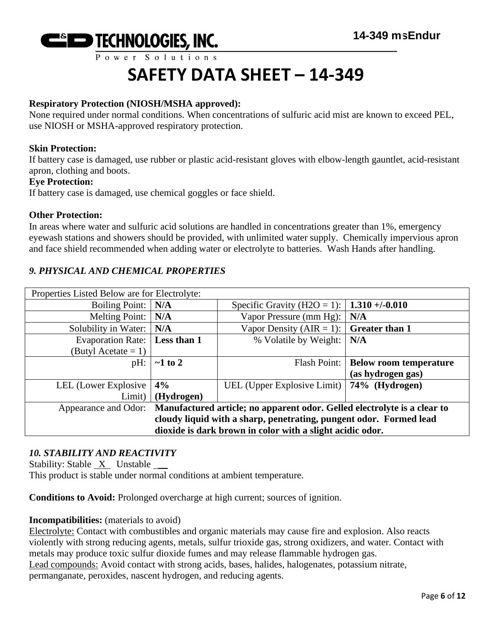

#### **Respiratory Protection (NIOSH/MSHA approved):**

None required under normal conditions. When concentrations of sulfuric acid mist are known to exceed PEL, use NIOSH or MSHA-approved respiratory protection.

#### **Skin Protection:**

If battery case is damaged, use rubber or plastic acid-resistant gloves with elbow-length gauntlet, acid-resistant apron, clothing and boots.

#### **Eye Protection:**

If battery case is damaged, use chemical goggles or face shield.

#### **Other Protection:**

In areas where water and sulfuric acid solutions are handled in concentrations greater than 1%, emergency eyewash stations and showers should be provided, with unlimited water supply. Chemically impervious apron and face shield recommended when adding water or electrolyte to batteries. Wash Hands after handling.

#### *9. PHYSICAL AND CHEMICAL PROPERTIES*

| Properties Listed Below are for Electrolyte:                                                  |               |                                                     |                               |
|-----------------------------------------------------------------------------------------------|---------------|-----------------------------------------------------|-------------------------------|
| <b>Boiling Point:</b>                                                                         | N/A           | Specific Gravity (H2O = 1):   <b>1.310 +/-0.010</b> |                               |
| <b>Melting Point:</b>                                                                         | N/A           | Vapor Pressure (mm Hg):                             | N/A                           |
| Solubility in Water:                                                                          | N/A           | Vapor Density (AIR = 1): $\int$ Greater than 1      |                               |
| <b>Evaporation Rate:</b>                                                                      | Less than 1   | % Volatile by Weight:                               | N/A                           |
| (Butyl Acetate = 1)                                                                           |               |                                                     |                               |
| pH:                                                                                           | $\sim$ 1 to 2 | Flash Point:                                        | <b>Below room temperature</b> |
|                                                                                               |               |                                                     | (as hydrogen gas)             |
| LEL (Lower Explosive                                                                          | 4%            | UEL (Upper Explosive Limit)   74% (Hydrogen)        |                               |
| Limit)                                                                                        | (Hydrogen)    |                                                     |                               |
| Appearance and Odor: Manufactured article; no apparent odor. Gelled electrolyte is a clear to |               |                                                     |                               |
| cloudy liquid with a sharp, penetrating, pungent odor. Formed lead                            |               |                                                     |                               |
| dioxide is dark brown in color with a slight acidic odor.                                     |               |                                                     |                               |

#### *10. STABILITY AND REACTIVITY*

Stability: Stable  $X$  Unstable  $\_\_\_\$ 

This product is stable under normal conditions at ambient temperature.

**Conditions to Avoid:** Prolonged overcharge at high current; sources of ignition.

#### **Incompatibilities:** (materials to avoid)

Electrolyte: Contact with combustibles and organic materials may cause fire and explosion. Also reacts violently with strong reducing agents, metals, sulfur trioxide gas, strong oxidizers, and water. Contact with metals may produce toxic sulfur dioxide fumes and may release flammable hydrogen gas. Lead compounds: Avoid contact with strong acids, bases, halides, halogenates, potassium nitrate, permanganate, peroxides, nascent hydrogen, and reducing agents.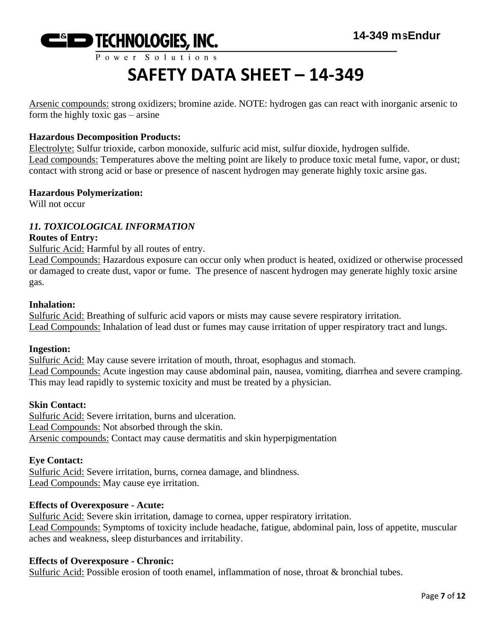

Arsenic compounds: strong oxidizers; bromine azide. NOTE: hydrogen gas can react with inorganic arsenic to form the highly toxic gas – arsine

#### **Hazardous Decomposition Products:**

Electrolyte: Sulfur trioxide, carbon monoxide, sulfuric acid mist, sulfur dioxide, hydrogen sulfide. Lead compounds: Temperatures above the melting point are likely to produce toxic metal fume, vapor, or dust; contact with strong acid or base or presence of nascent hydrogen may generate highly toxic arsine gas.

#### **Hazardous Polymerization:**

Will not occur

#### *11. TOXICOLOGICAL INFORMATION*

#### **Routes of Entry:**

Sulfuric Acid: Harmful by all routes of entry.

Lead Compounds: Hazardous exposure can occur only when product is heated, oxidized or otherwise processed or damaged to create dust, vapor or fume. The presence of nascent hydrogen may generate highly toxic arsine gas.

#### **Inhalation:**

Sulfuric Acid: Breathing of sulfuric acid vapors or mists may cause severe respiratory irritation. Lead Compounds: Inhalation of lead dust or fumes may cause irritation of upper respiratory tract and lungs.

#### **Ingestion:**

Sulfuric Acid: May cause severe irritation of mouth, throat, esophagus and stomach. Lead Compounds: Acute ingestion may cause abdominal pain, nausea, vomiting, diarrhea and severe cramping. This may lead rapidly to systemic toxicity and must be treated by a physician.

#### **Skin Contact:**

Sulfuric Acid: Severe irritation, burns and ulceration. Lead Compounds: Not absorbed through the skin. Arsenic compounds: Contact may cause dermatitis and skin hyperpigmentation

#### **Eye Contact:**

Sulfuric Acid: Severe irritation, burns, cornea damage, and blindness. Lead Compounds: May cause eye irritation.

#### **Effects of Overexposure - Acute:**

Sulfuric Acid: Severe skin irritation, damage to cornea, upper respiratory irritation. Lead Compounds: Symptoms of toxicity include headache, fatigue, abdominal pain, loss of appetite, muscular aches and weakness, sleep disturbances and irritability.

#### **Effects of Overexposure - Chronic:**

Sulfuric Acid: Possible erosion of tooth enamel, inflammation of nose, throat & bronchial tubes.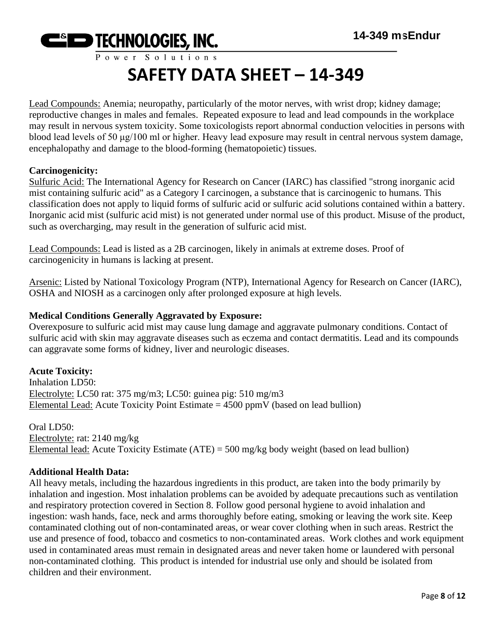

Lead Compounds: Anemia; neuropathy, particularly of the motor nerves, with wrist drop; kidney damage; reproductive changes in males and females. Repeated exposure to lead and lead compounds in the workplace may result in nervous system toxicity. Some toxicologists report abnormal conduction velocities in persons with blood lead levels of 50 μg/100 ml or higher. Heavy lead exposure may result in central nervous system damage, encephalopathy and damage to the blood-forming (hematopoietic) tissues.

#### **Carcinogenicity:**

Sulfuric Acid: The International Agency for Research on Cancer (IARC) has classified "strong inorganic acid mist containing sulfuric acid" as a Category I carcinogen, a substance that is carcinogenic to humans. This classification does not apply to liquid forms of sulfuric acid or sulfuric acid solutions contained within a battery. Inorganic acid mist (sulfuric acid mist) is not generated under normal use of this product. Misuse of the product, such as overcharging, may result in the generation of sulfuric acid mist.

Lead Compounds: Lead is listed as a 2B carcinogen, likely in animals at extreme doses. Proof of carcinogenicity in humans is lacking at present.

Arsenic: Listed by National Toxicology Program (NTP), International Agency for Research on Cancer (IARC), OSHA and NIOSH as a carcinogen only after prolonged exposure at high levels.

#### **Medical Conditions Generally Aggravated by Exposure:**

Overexposure to sulfuric acid mist may cause lung damage and aggravate pulmonary conditions. Contact of sulfuric acid with skin may aggravate diseases such as eczema and contact dermatitis. Lead and its compounds can aggravate some forms of kidney, liver and neurologic diseases.

#### **Acute Toxicity:**

Inhalation LD50: Electrolyte: LC50 rat: 375 mg/m3; LC50: guinea pig: 510 mg/m3 Elemental Lead: Acute Toxicity Point Estimate  $= 4500$  ppmV (based on lead bullion)

Oral LD50: Electrolyte: rat: 2140 mg/kg Elemental lead: Acute Toxicity Estimate (ATE) = 500 mg/kg body weight (based on lead bullion)

#### **Additional Health Data:**

All heavy metals, including the hazardous ingredients in this product, are taken into the body primarily by inhalation and ingestion. Most inhalation problems can be avoided by adequate precautions such as ventilation and respiratory protection covered in Section 8. Follow good personal hygiene to avoid inhalation and ingestion: wash hands, face, neck and arms thoroughly before eating, smoking or leaving the work site. Keep contaminated clothing out of non-contaminated areas, or wear cover clothing when in such areas. Restrict the use and presence of food, tobacco and cosmetics to non-contaminated areas. Work clothes and work equipment used in contaminated areas must remain in designated areas and never taken home or laundered with personal non-contaminated clothing. This product is intended for industrial use only and should be isolated from children and their environment.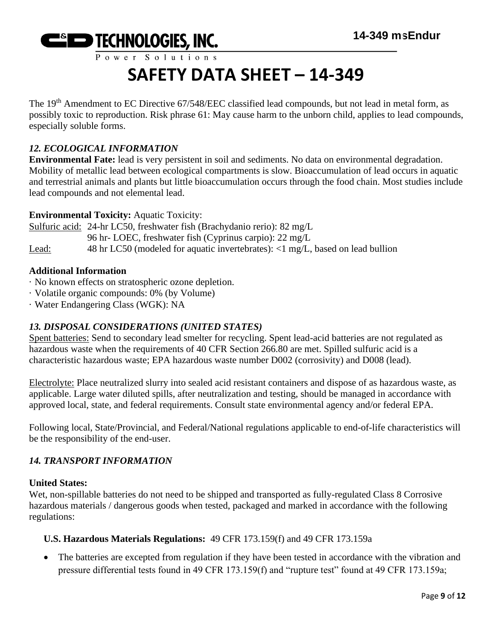

The 19<sup>th</sup> Amendment to EC Directive 67/548/EEC classified lead compounds, but not lead in metal form, as possibly toxic to reproduction. Risk phrase 61: May cause harm to the unborn child, applies to lead compounds, especially soluble forms.

#### *12. ECOLOGICAL INFORMATION*

**Environmental Fate:** lead is very persistent in soil and sediments. No data on environmental degradation. Mobility of metallic lead between ecological compartments is slow. Bioaccumulation of lead occurs in aquatic and terrestrial animals and plants but little bioaccumulation occurs through the food chain. Most studies include lead compounds and not elemental lead.

#### **Environmental Toxicity:** Aquatic Toxicity:

Sulfuric acid: 24-hr LC50, freshwater fish (Brachydanio rerio): 82 mg/L 96 hr- LOEC, freshwater fish (Cyprinus carpio): 22 mg/L Lead: 48 hr LC50 (modeled for aquatic invertebrates): <1 mg/L, based on lead bullion

#### **Additional Information**

- · No known effects on stratospheric ozone depletion.
- · Volatile organic compounds: 0% (by Volume)
- · Water Endangering Class (WGK): NA

#### *13. DISPOSAL CONSIDERATIONS (UNITED STATES)*

Spent batteries: Send to secondary lead smelter for recycling. Spent lead-acid batteries are not regulated as hazardous waste when the requirements of 40 CFR Section 266.80 are met. Spilled sulfuric acid is a characteristic hazardous waste; EPA hazardous waste number D002 (corrosivity) and D008 (lead).

Electrolyte: Place neutralized slurry into sealed acid resistant containers and dispose of as hazardous waste, as applicable. Large water diluted spills, after neutralization and testing, should be managed in accordance with approved local, state, and federal requirements. Consult state environmental agency and/or federal EPA.

Following local, State/Provincial, and Federal/National regulations applicable to end-of-life characteristics will be the responsibility of the end-user.

#### *14. TRANSPORT INFORMATION*

#### **United States:**

Wet, non-spillable batteries do not need to be shipped and transported as fully-regulated Class 8 Corrosive hazardous materials / dangerous goods when tested, packaged and marked in accordance with the following regulations:

#### **U.S. Hazardous Materials Regulations:** 49 CFR 173.159(f) and 49 CFR 173.159a

• The batteries are excepted from regulation if they have been tested in accordance with the vibration and pressure differential tests found in 49 CFR 173.159(f) and "rupture test" found at 49 CFR 173.159a;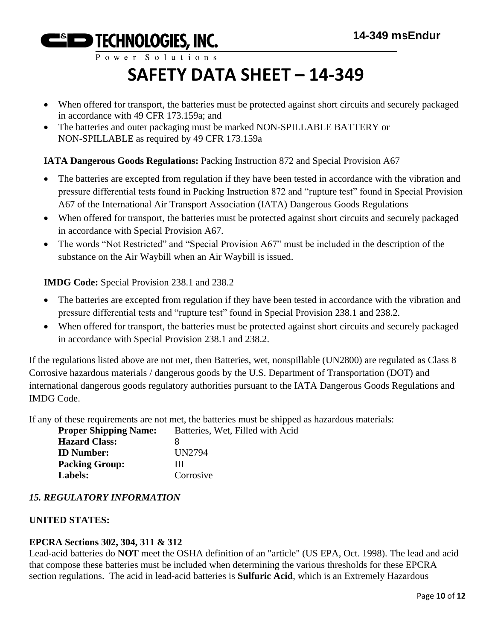Power Solutions

# **SAFETY DATA SHEET – 14-349**

- When offered for transport, the batteries must be protected against short circuits and securely packaged in accordance with 49 CFR 173.159a; and
- The batteries and outer packaging must be marked NON-SPILLABLE BATTERY or NON-SPILLABLE as required by 49 CFR 173.159a

#### **IATA Dangerous Goods Regulations:** Packing Instruction 872 and Special Provision A67

- The batteries are excepted from regulation if they have been tested in accordance with the vibration and pressure differential tests found in Packing Instruction 872 and "rupture test" found in Special Provision A67 of the International Air Transport Association (IATA) Dangerous Goods Regulations
- When offered for transport, the batteries must be protected against short circuits and securely packaged in accordance with Special Provision A67.
- The words "Not Restricted" and "Special Provision A67" must be included in the description of the substance on the Air Waybill when an Air Waybill is issued.

**IMDG Code:** Special Provision 238.1 and 238.2

- The batteries are excepted from regulation if they have been tested in accordance with the vibration and pressure differential tests and "rupture test" found in Special Provision 238.1 and 238.2.
- When offered for transport, the batteries must be protected against short circuits and securely packaged in accordance with Special Provision 238.1 and 238.2.

If the regulations listed above are not met, then Batteries, wet, nonspillable (UN2800) are regulated as Class 8 Corrosive hazardous materials / dangerous goods by the U.S. Department of Transportation (DOT) and international dangerous goods regulatory authorities pursuant to the IATA Dangerous Goods Regulations and IMDG Code.

If any of these requirements are not met, the batteries must be shipped as hazardous materials:

| Batteries, Wet, Filled with Acid |
|----------------------------------|
|                                  |
| UN2794                           |
| ш                                |
| Corrosive                        |
|                                  |

#### *15. REGULATORY INFORMATION*

#### **UNITED STATES:**

#### **EPCRA Sections 302, 304, 311 & 312**

Lead-acid batteries do **NOT** meet the OSHA definition of an "article" (US EPA, Oct. 1998). The lead and acid that compose these batteries must be included when determining the various thresholds for these EPCRA section regulations. The acid in lead-acid batteries is **Sulfuric Acid**, which is an Extremely Hazardous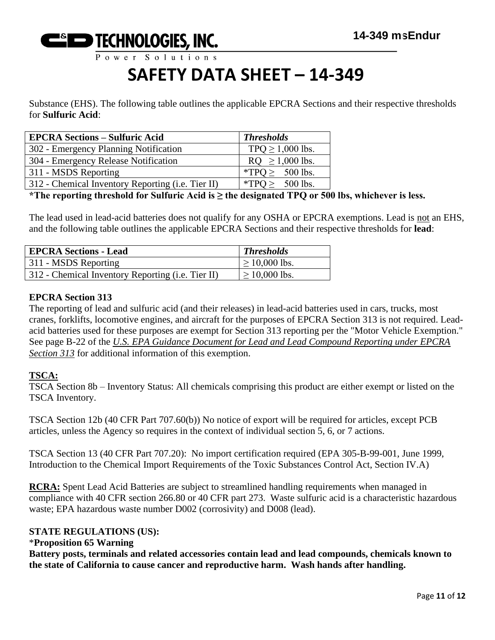

Substance (EHS). The following table outlines the applicable EPCRA Sections and their respective thresholds for **Sulfuric Acid**:

| <b>EPCRA Sections – Sulfuric Acid</b>             | <b>Thresholds</b>     |
|---------------------------------------------------|-----------------------|
| 302 - Emergency Planning Notification             | TPQ $\geq$ 1,000 lbs. |
| 304 - Emergency Release Notification              | $RQ \ge 1,000$ lbs.   |
| 311 - MSDS Reporting                              | *TPO $\geq$ 500 lbs.  |
| 312 - Chemical Inventory Reporting (i.e. Tier II) | *TPQ $\geq$ 500 lbs.  |

**\*The reporting threshold for Sulfuric Acid is ≥ the designated TPQ or 500 lbs, whichever is less.**

The lead used in lead-acid batteries does not qualify for any OSHA or EPCRA exemptions. Lead is not an EHS, and the following table outlines the applicable EPCRA Sections and their respective thresholds for **lead**:

| <b>EPCRA Sections - Lead</b>                      | <b>Thresholds</b>  |
|---------------------------------------------------|--------------------|
| 311 - MSDS Reporting                              | $\geq 10,000$ lbs. |
| 312 - Chemical Inventory Reporting (i.e. Tier II) | $\geq 10,000$ lbs. |

#### **EPCRA Section 313**

The reporting of lead and sulfuric acid (and their releases) in lead-acid batteries used in cars, trucks, most cranes, forklifts, locomotive engines, and aircraft for the purposes of EPCRA Section 313 is not required. Leadacid batteries used for these purposes are exempt for Section 313 reporting per the "Motor Vehicle Exemption." See page B-22 of the *U.S. EPA Guidance Document for Lead and Lead Compound Reporting under EPCRA Section 313* for additional information of this exemption.

#### **TSCA:**

TSCA Section 8b – Inventory Status: All chemicals comprising this product are either exempt or listed on the TSCA Inventory.

TSCA Section 12b (40 CFR Part 707.60(b)) No notice of export will be required for articles, except PCB articles, unless the Agency so requires in the context of individual section 5, 6, or 7 actions.

TSCA Section 13 (40 CFR Part 707.20): No import certification required (EPA 305-B-99-001, June 1999, Introduction to the Chemical Import Requirements of the Toxic Substances Control Act, Section IV.A)

**RCRA:** Spent Lead Acid Batteries are subject to streamlined handling requirements when managed in compliance with 40 CFR section 266.80 or 40 CFR part 273. Waste sulfuric acid is a characteristic hazardous waste; EPA hazardous waste number D002 (corrosivity) and D008 (lead).

#### **STATE REGULATIONS (US):**

#### \***Proposition 65 Warning**

**Battery posts, terminals and related accessories contain lead and lead compounds, chemicals known to the state of California to cause cancer and reproductive harm. Wash hands after handling.**